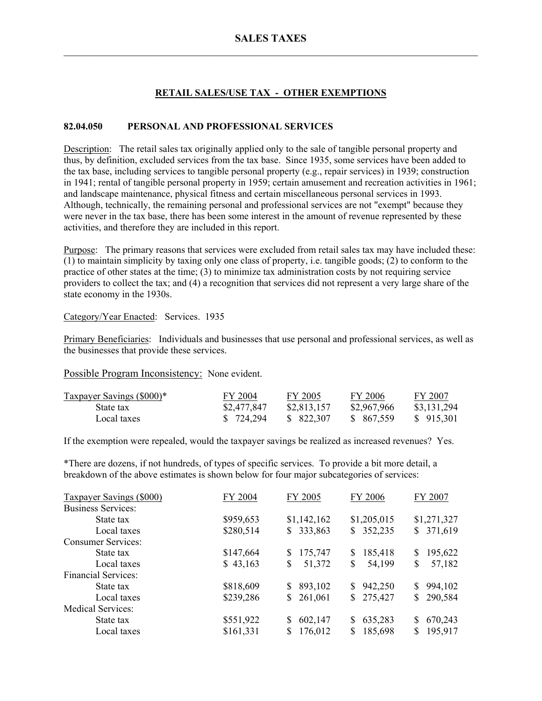# **RETAIL SALES/USE TAX - OTHER EXEMPTIONS**

## **82.04.050 PERSONAL AND PROFESSIONAL SERVICES**

Description: The retail sales tax originally applied only to the sale of tangible personal property and thus, by definition, excluded services from the tax base. Since 1935, some services have been added to the tax base, including services to tangible personal property (e.g., repair services) in 1939; construction in 1941; rental of tangible personal property in 1959; certain amusement and recreation activities in 1961; and landscape maintenance, physical fitness and certain miscellaneous personal services in 1993. Although, technically, the remaining personal and professional services are not "exempt" because they were never in the tax base, there has been some interest in the amount of revenue represented by these activities, and therefore they are included in this report.

Purpose: The primary reasons that services were excluded from retail sales tax may have included these: (1) to maintain simplicity by taxing only one class of property, i.e. tangible goods; (2) to conform to the practice of other states at the time; (3) to minimize tax administration costs by not requiring service providers to collect the tax; and (4) a recognition that services did not represent a very large share of the state economy in the 1930s.

### Category/Year Enacted: Services. 1935

Primary Beneficiaries: Individuals and businesses that use personal and professional services, as well as the businesses that provide these services.

Possible Program Inconsistency: None evident.

| Taxpayer Savings (\$000)* | FY 2004     | FY 2005     | FY 2006     | FY 2007     |
|---------------------------|-------------|-------------|-------------|-------------|
| State tax                 | \$2,477,847 | \$2,813,157 | \$2,967,966 | \$3,131,294 |
| Local taxes               | \$724.294   | \$ 822,307  | \$ 867.559  | \$915.301   |

If the exemption were repealed, would the taxpayer savings be realized as increased revenues? Yes.

\*There are dozens, if not hundreds, of types of specific services. To provide a bit more detail, a breakdown of the above estimates is shown below for four major subcategories of services:

| <b>Taxpayer Savings (\$000)</b> | FY 2004   | FY 2005       | FY 2006                   | FY 2007       |
|---------------------------------|-----------|---------------|---------------------------|---------------|
| <b>Business Services:</b>       |           |               |                           |               |
| State tax                       | \$959,653 | \$1,142,162   | \$1,205,015               | \$1,271,327   |
| Local taxes                     | \$280,514 | 333,863<br>S. | 352,235<br>\$             | 371,619<br>\$ |
| <b>Consumer Services:</b>       |           |               |                           |               |
| State tax                       | \$147,664 | 175,747<br>S  | 185,418<br>S              | 195,622<br>\$ |
| Local taxes                     | \$43,163  | 51,372<br>S   | 54,199<br>S               | 57,182<br>\$  |
| <b>Financial Services:</b>      |           |               |                           |               |
| State tax                       | \$818,609 | 893,102<br>S. | 942,250<br>\$             | 994,102<br>\$ |
| Local taxes                     | \$239,286 | 261,061<br>\$ | 275,427<br>$\mathbb{S}^-$ | 290,584<br>\$ |
| <b>Medical Services:</b>        |           |               |                           |               |
| State tax                       | \$551,922 | 602,147<br>S  | 635,283<br>\$             | 670,243<br>\$ |
| Local taxes                     | \$161,331 | 176,012       | 185,698<br>S              | 195,917<br>S  |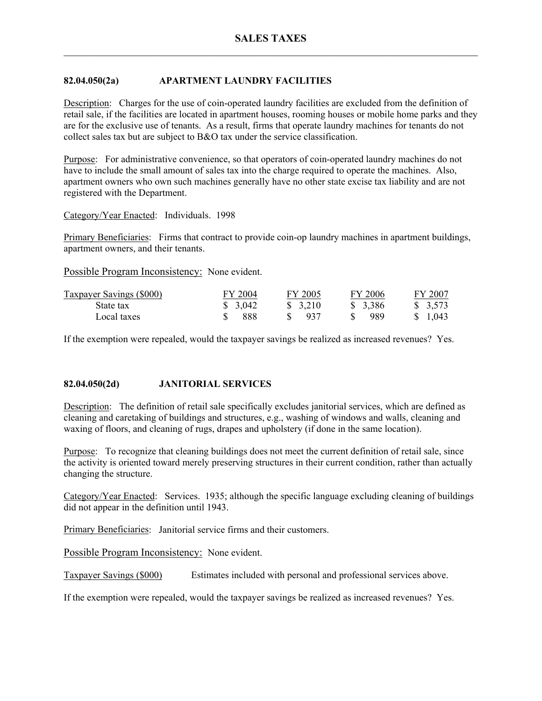# **82.04.050(2a) APARTMENT LAUNDRY FACILITIES**

Description: Charges for the use of coin-operated laundry facilities are excluded from the definition of retail sale, if the facilities are located in apartment houses, rooming houses or mobile home parks and they are for the exclusive use of tenants. As a result, firms that operate laundry machines for tenants do not collect sales tax but are subject to B&O tax under the service classification.

Purpose: For administrative convenience, so that operators of coin-operated laundry machines do not have to include the small amount of sales tax into the charge required to operate the machines. Also, apartment owners who own such machines generally have no other state excise tax liability and are not registered with the Department.

## Category/Year Enacted: Individuals. 1998

Primary Beneficiaries: Firms that contract to provide coin-op laundry machines in apartment buildings, apartment owners, and their tenants.

Possible Program Inconsistency: None evident.

| <b>Taxpayer Savings (\$000)</b> | FY 2004 | FY 2005  | FY 2006  | FY 2007             |
|---------------------------------|---------|----------|----------|---------------------|
| State tax                       | \$3,042 | \$ 3.210 | \$ 3,386 | $\frac{1}{2}$ 3.573 |
| Local taxes                     | -888    | -937     | 989      | \$ 1.043            |

If the exemption were repealed, would the taxpayer savings be realized as increased revenues? Yes.

## **82.04.050(2d) JANITORIAL SERVICES**

Description: The definition of retail sale specifically excludes janitorial services, which are defined as cleaning and caretaking of buildings and structures, e.g., washing of windows and walls, cleaning and waxing of floors, and cleaning of rugs, drapes and upholstery (if done in the same location).

Purpose: To recognize that cleaning buildings does not meet the current definition of retail sale, since the activity is oriented toward merely preserving structures in their current condition, rather than actually changing the structure.

Category/Year Enacted: Services. 1935; although the specific language excluding cleaning of buildings did not appear in the definition until 1943.

Primary Beneficiaries: Janitorial service firms and their customers.

Possible Program Inconsistency: None evident.

Taxpayer Savings (\$000) Estimates included with personal and professional services above.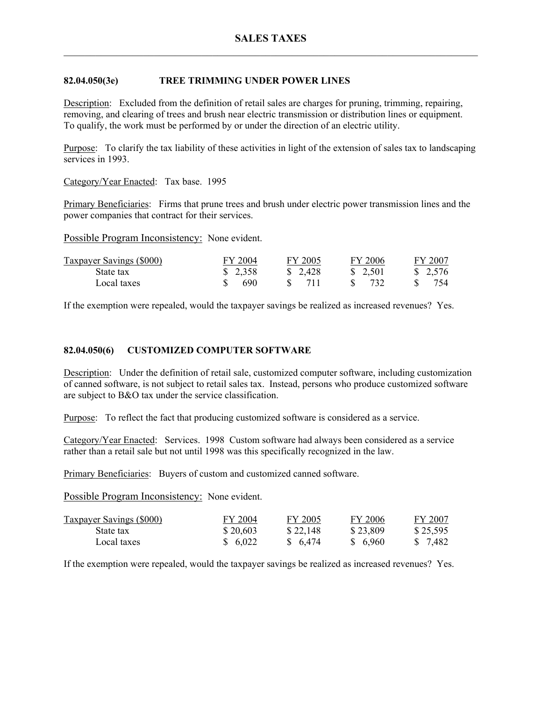# **82.04.050(3e) TREE TRIMMING UNDER POWER LINES**

Description: Excluded from the definition of retail sales are charges for pruning, trimming, repairing, removing, and clearing of trees and brush near electric transmission or distribution lines or equipment. To qualify, the work must be performed by or under the direction of an electric utility.

Purpose: To clarify the tax liability of these activities in light of the extension of sales tax to landscaping services in 1993.

Category/Year Enacted: Tax base. 1995

Primary Beneficiaries: Firms that prune trees and brush under electric power transmission lines and the power companies that contract for their services.

Possible Program Inconsistency: None evident.

| <b>Taxpayer Savings (\$000)</b> | FY 2004 | FY 2005 | FY 2006  | FY 2007 |
|---------------------------------|---------|---------|----------|---------|
| State tax                       | \$2,358 | \$2,428 | \$ 2,501 | \$2,576 |
| Local taxes                     | 690     |         |          | 754     |

If the exemption were repealed, would the taxpayer savings be realized as increased revenues? Yes.

## **82.04.050(6) CUSTOMIZED COMPUTER SOFTWARE**

Description: Under the definition of retail sale, customized computer software, including customization of canned software, is not subject to retail sales tax. Instead, persons who produce customized software are subject to B&O tax under the service classification.

Purpose: To reflect the fact that producing customized software is considered as a service.

Category/Year Enacted: Services. 1998 Custom software had always been considered as a service rather than a retail sale but not until 1998 was this specifically recognized in the law.

Primary Beneficiaries: Buyers of custom and customized canned software.

Possible Program Inconsistency: None evident.

| <b>Taxpayer Savings (\$000)</b> | FY 2004  | FY 2005  | FY 2006  | FY 2007  |
|---------------------------------|----------|----------|----------|----------|
| State tax                       | \$20,603 | \$22,148 | \$23,809 | \$25,595 |
| Local taxes                     | \$6,022  | \$6,474  | \$ 6,960 | \$ 7.482 |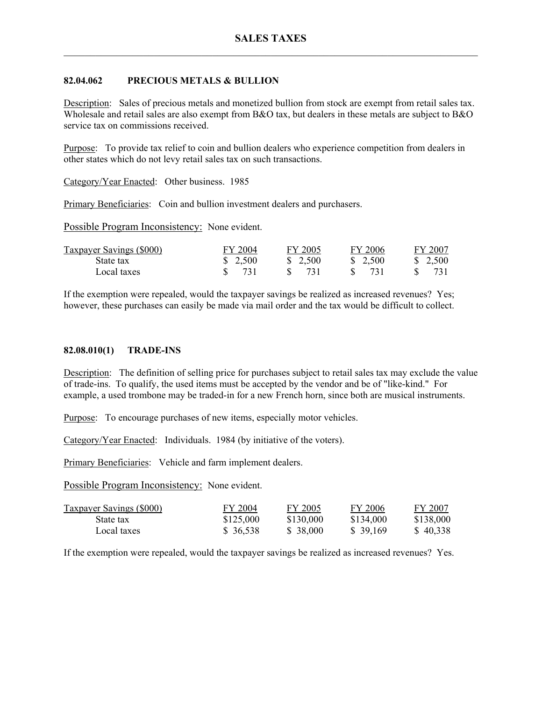## **82.04.062 PRECIOUS METALS & BULLION**

Description: Sales of precious metals and monetized bullion from stock are exempt from retail sales tax. Wholesale and retail sales are also exempt from B&O tax, but dealers in these metals are subject to B&O service tax on commissions received.

Purpose: To provide tax relief to coin and bullion dealers who experience competition from dealers in other states which do not levy retail sales tax on such transactions.

Category/Year Enacted: Other business. 1985

Primary Beneficiaries: Coin and bullion investment dealers and purchasers.

Possible Program Inconsistency: None evident.

| Taxpayer Savings (\$000) | FY 2004           | FY 2005 | FY 2006 | FY 2007 |
|--------------------------|-------------------|---------|---------|---------|
| State tax                | \$2,500           | \$2,500 | \$2,500 | \$2,500 |
| Local taxes              | $\frac{1}{2}$ 731 |         |         | 731     |

If the exemption were repealed, would the taxpayer savings be realized as increased revenues? Yes; however, these purchases can easily be made via mail order and the tax would be difficult to collect.

### **82.08.010(1) TRADE-INS**

Description: The definition of selling price for purchases subject to retail sales tax may exclude the value of trade-ins. To qualify, the used items must be accepted by the vendor and be of "like-kind." For example, a used trombone may be traded-in for a new French horn, since both are musical instruments.

Purpose: To encourage purchases of new items, especially motor vehicles.

Category/Year Enacted: Individuals. 1984 (by initiative of the voters).

Primary Beneficiaries: Vehicle and farm implement dealers.

Possible Program Inconsistency: None evident.

| <b>Taxpayer Savings (\$000)</b> | FY 2004   | FY 2005   | FY 2006   | FY 2007   |
|---------------------------------|-----------|-----------|-----------|-----------|
| State tax                       | \$125,000 | \$130,000 | \$134,000 | \$138,000 |
| Local taxes                     | \$36,538  | \$38,000  | \$39,169  | \$40,338  |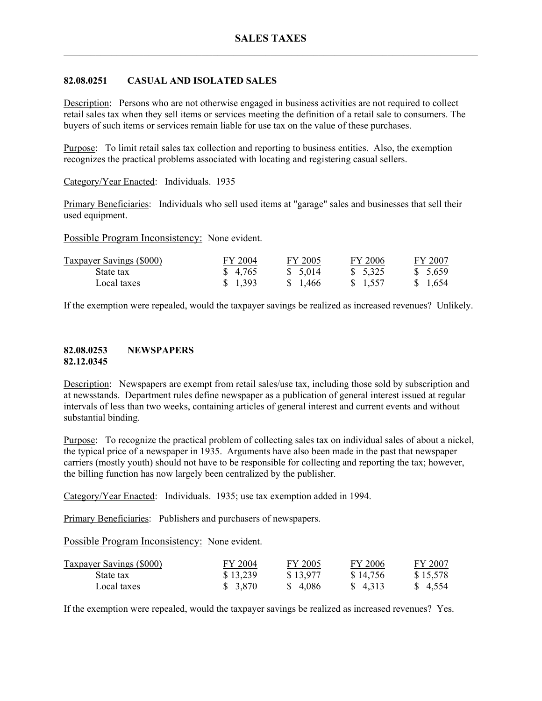# **82.08.0251 CASUAL AND ISOLATED SALES**

Description: Persons who are not otherwise engaged in business activities are not required to collect retail sales tax when they sell items or services meeting the definition of a retail sale to consumers. The buyers of such items or services remain liable for use tax on the value of these purchases.

Purpose: To limit retail sales tax collection and reporting to business entities. Also, the exemption recognizes the practical problems associated with locating and registering casual sellers.

Category/Year Enacted: Individuals. 1935

Primary Beneficiaries: Individuals who sell used items at "garage" sales and businesses that sell their used equipment.

Possible Program Inconsistency: None evident.

| <b>Taxpayer Savings (\$000)</b> | FY 2004  | FY 2005  | FY 2006  | FY 2007  |
|---------------------------------|----------|----------|----------|----------|
| State tax                       | \$ 4,765 | \$ 5,014 | \$ 5,325 | \$5,659  |
| Local taxes                     | \$1,393  | \$ 1.466 | \$ 1.557 | \$ 1.654 |

If the exemption were repealed, would the taxpayer savings be realized as increased revenues? Unlikely.

### **82.08.0253 NEWSPAPERS 82.12.0345**

Description: Newspapers are exempt from retail sales/use tax, including those sold by subscription and at newsstands. Department rules define newspaper as a publication of general interest issued at regular intervals of less than two weeks, containing articles of general interest and current events and without substantial binding.

Purpose: To recognize the practical problem of collecting sales tax on individual sales of about a nickel, the typical price of a newspaper in 1935. Arguments have also been made in the past that newspaper carriers (mostly youth) should not have to be responsible for collecting and reporting the tax; however, the billing function has now largely been centralized by the publisher.

Category/Year Enacted: Individuals. 1935; use tax exemption added in 1994.

Primary Beneficiaries: Publishers and purchasers of newspapers.

Possible Program Inconsistency: None evident.

| <b>Taxpayer Savings (\$000)</b> | FY 2004  | FY 2005  | FY 2006  | FY 2007  |
|---------------------------------|----------|----------|----------|----------|
| State tax                       | \$13,239 | \$13,977 | \$14,756 | \$15,578 |
| Local taxes                     | \$3,870  | \$4.086  | \$ 4.313 | \$4,554  |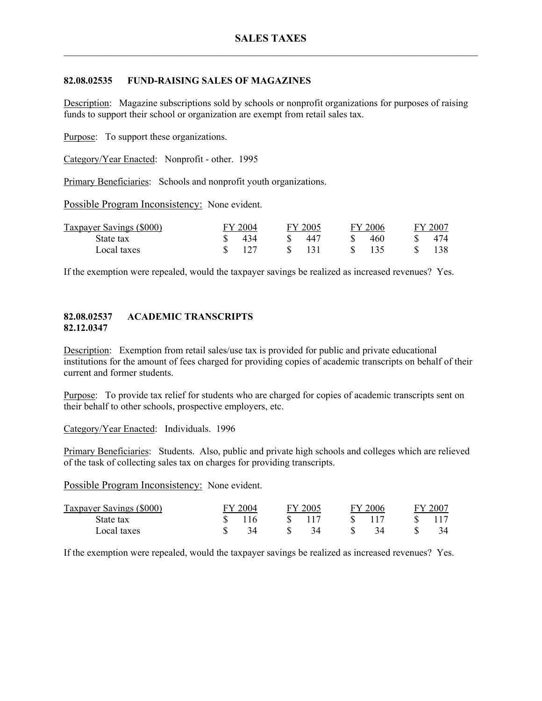## **82.08.02535 FUND-RAISING SALES OF MAGAZINES**

Description: Magazine subscriptions sold by schools or nonprofit organizations for purposes of raising funds to support their school or organization are exempt from retail sales tax.

Purpose: To support these organizations.

Category/Year Enacted: Nonprofit - other. 1995

Primary Beneficiaries: Schools and nonprofit youth organizations.

Possible Program Inconsistency: None evident.

| <b>Taxpayer Savings (\$000)</b> | FY 2004 | FY 2005 | FY 2006 | FY 2007 |
|---------------------------------|---------|---------|---------|---------|
| State tax                       | 434     | 447     | 460     | 474     |
| Local taxes                     | 127     |         |         | 138     |

If the exemption were repealed, would the taxpayer savings be realized as increased revenues? Yes.

## **82.08.02537 ACADEMIC TRANSCRIPTS 82.12.0347**

Description: Exemption from retail sales/use tax is provided for public and private educational institutions for the amount of fees charged for providing copies of academic transcripts on behalf of their current and former students.

Purpose: To provide tax relief for students who are charged for copies of academic transcripts sent on their behalf to other schools, prospective employers, etc.

Category/Year Enacted: Individuals. 1996

Primary Beneficiaries: Students. Also, public and private high schools and colleges which are relieved of the task of collecting sales tax on charges for providing transcripts.

Possible Program Inconsistency: None evident.

| Taxpayer Savings (\$000) | FY 2004 | FY 2005 | FV. | 12006 | FY 2007 |
|--------------------------|---------|---------|-----|-------|---------|
| State tax                | 116     |         |     |       |         |
| Local taxes              |         |         |     |       |         |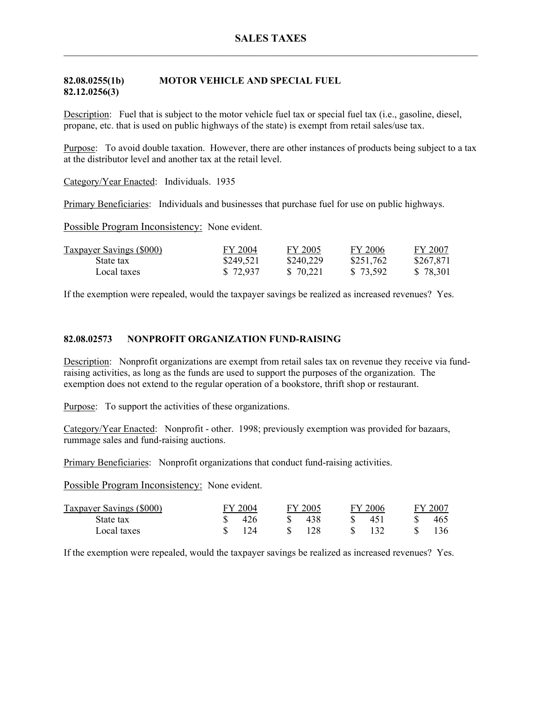# **82.08.0255(1b) MOTOR VEHICLE AND SPECIAL FUEL 82.12.0256(3)**

Description: Fuel that is subject to the motor vehicle fuel tax or special fuel tax (i.e., gasoline, diesel, propane, etc. that is used on public highways of the state) is exempt from retail sales/use tax.

Purpose: To avoid double taxation. However, there are other instances of products being subject to a tax at the distributor level and another tax at the retail level.

Category/Year Enacted: Individuals. 1935

Primary Beneficiaries: Individuals and businesses that purchase fuel for use on public highways.

Possible Program Inconsistency: None evident.

| <b>Taxpayer Savings (\$000)</b> | FY 2004   | FY 2005   | FY 2006   | FY 2007   |
|---------------------------------|-----------|-----------|-----------|-----------|
| State tax                       | \$249,521 | \$240,229 | \$251,762 | \$267,871 |
| Local taxes                     | \$72,937  | \$ 70.221 | \$73,592  | \$78,301  |

If the exemption were repealed, would the taxpayer savings be realized as increased revenues? Yes.

# **82.08.02573 NONPROFIT ORGANIZATION FUND-RAISING**

Description: Nonprofit organizations are exempt from retail sales tax on revenue they receive via fundraising activities, as long as the funds are used to support the purposes of the organization. The exemption does not extend to the regular operation of a bookstore, thrift shop or restaurant.

Purpose: To support the activities of these organizations.

Category/Year Enacted: Nonprofit - other. 1998; previously exemption was provided for bazaars, rummage sales and fund-raising auctions.

Primary Beneficiaries: Nonprofit organizations that conduct fund-raising activities.

Possible Program Inconsistency: None evident.

| Taxpayer Savings (\$000) | <sup>--</sup> Y 2004 | FY 2005 | FY 2006 | FY 2007 |
|--------------------------|----------------------|---------|---------|---------|
| State tax                | 426                  | 438     | 45'     | 465     |
| Local taxes              | 124                  | 128     |         | 136     |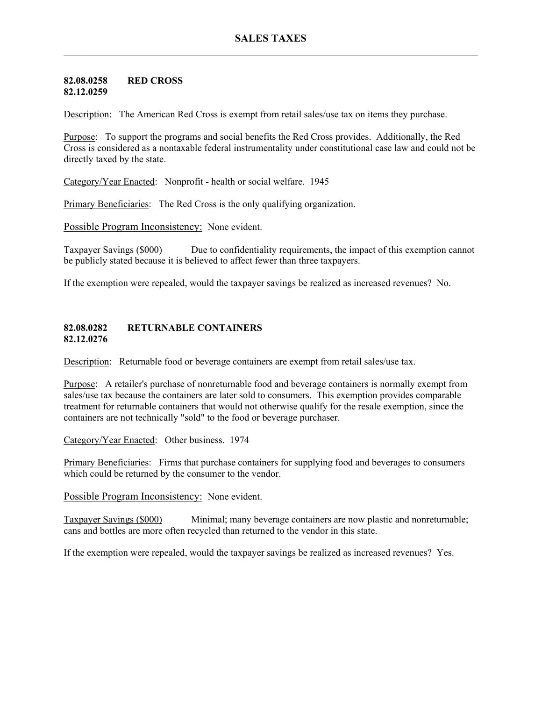#### **82.08.0258 RED CROSS 82.12.0259**

Description: The American Red Cross is exempt from retail sales/use tax on items they purchase.

Purpose: To support the programs and social benefits the Red Cross provides. Additionally, the Red Cross is considered as a nontaxable federal instrumentality under constitutional case law and could not be directly taxed by the state.

Category/Year Enacted: Nonprofit - health or social welfare. 1945

Primary Beneficiaries: The Red Cross is the only qualifying organization.

Possible Program Inconsistency: None evident.

Taxpayer Savings (\$000) Due to confidentiality requirements, the impact of this exemption cannot be publicly stated because it is believed to affect fewer than three taxpayers.

If the exemption were repealed, would the taxpayer savings be realized as increased revenues? No.

### **82.08.0282 RETURNABLE CONTAINERS 82.12.0276**

Description: Returnable food or beverage containers are exempt from retail sales/use tax.

Purpose: A retailer's purchase of nonreturnable food and beverage containers is normally exempt from sales/use tax because the containers are later sold to consumers. This exemption provides comparable treatment for returnable containers that would not otherwise qualify for the resale exemption, since the containers are not technically "sold" to the food or beverage purchaser.

Category/Year Enacted: Other business. 1974

Primary Beneficiaries: Firms that purchase containers for supplying food and beverages to consumers which could be returned by the consumer to the vendor.

Possible Program Inconsistency: None evident.

Taxpayer Savings (\$000) Minimal; many beverage containers are now plastic and nonreturnable; cans and bottles are more often recycled than returned to the vendor in this state.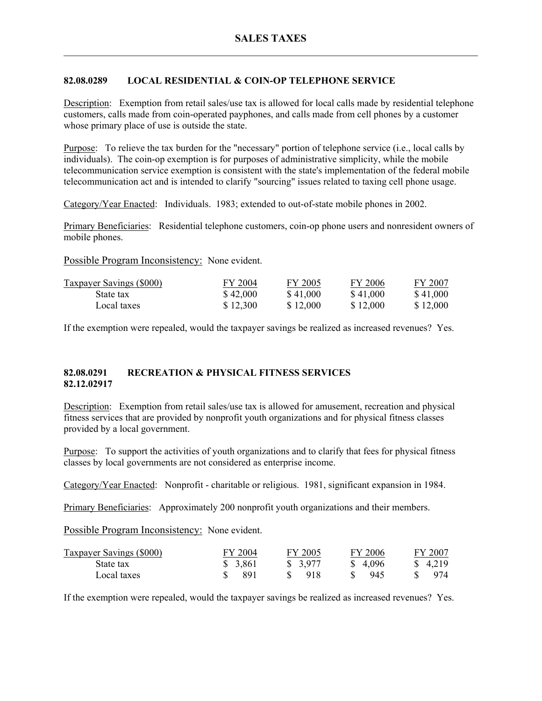# **82.08.0289 LOCAL RESIDENTIAL & COIN-OP TELEPHONE SERVICE**

Description: Exemption from retail sales/use tax is allowed for local calls made by residential telephone customers, calls made from coin-operated payphones, and calls made from cell phones by a customer whose primary place of use is outside the state.

Purpose: To relieve the tax burden for the "necessary" portion of telephone service (i.e., local calls by individuals). The coin-op exemption is for purposes of administrative simplicity, while the mobile telecommunication service exemption is consistent with the state's implementation of the federal mobile telecommunication act and is intended to clarify "sourcing" issues related to taxing cell phone usage.

Category/Year Enacted: Individuals. 1983; extended to out-of-state mobile phones in 2002.

Primary Beneficiaries: Residential telephone customers, coin-op phone users and nonresident owners of mobile phones.

Possible Program Inconsistency: None evident.

| <b>Taxpayer Savings (\$000)</b> | FY 2004  | FY 2005  | FY 2006  | FY 2007  |
|---------------------------------|----------|----------|----------|----------|
| State tax                       | \$42,000 | \$41,000 | \$41,000 | \$41,000 |
| Local taxes                     | \$12,300 | \$12,000 | \$12,000 | \$12,000 |

If the exemption were repealed, would the taxpayer savings be realized as increased revenues? Yes.

# **82.08.0291 RECREATION & PHYSICAL FITNESS SERVICES 82.12.02917**

Description: Exemption from retail sales/use tax is allowed for amusement, recreation and physical fitness services that are provided by nonprofit youth organizations and for physical fitness classes provided by a local government.

Purpose: To support the activities of youth organizations and to clarify that fees for physical fitness classes by local governments are not considered as enterprise income.

Category/Year Enacted: Nonprofit - charitable or religious. 1981, significant expansion in 1984.

Primary Beneficiaries: Approximately 200 nonprofit youth organizations and their members.

Possible Program Inconsistency: None evident.

| <b>Taxpayer Savings (\$000)</b> | FY 2004 | FY 2005  | FY 2006 | FY 2007  |
|---------------------------------|---------|----------|---------|----------|
| State tax                       | \$3,861 | \$ 3,977 | \$4.096 | \$ 4.219 |
| Local taxes                     | 891     | -918     | -945    | 974      |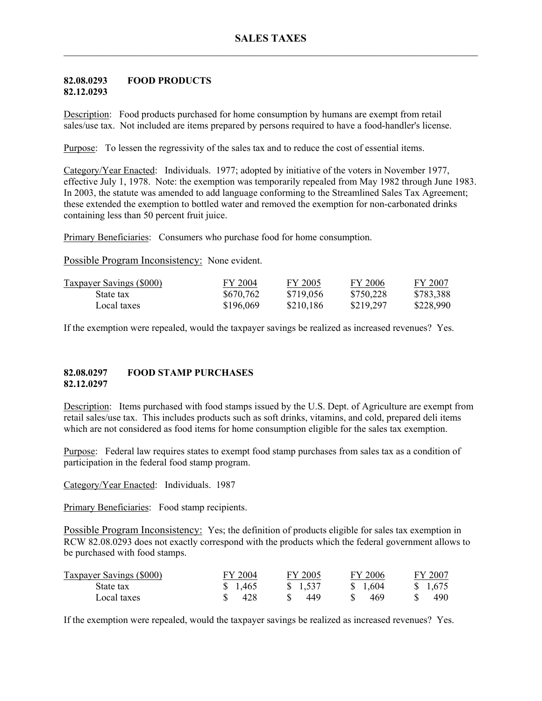### **82.08.0293 FOOD PRODUCTS 82.12.0293**

Description: Food products purchased for home consumption by humans are exempt from retail sales/use tax. Not included are items prepared by persons required to have a food-handler's license.

Purpose: To lessen the regressivity of the sales tax and to reduce the cost of essential items.

Category/Year Enacted: Individuals. 1977; adopted by initiative of the voters in November 1977, effective July 1, 1978. Note: the exemption was temporarily repealed from May 1982 through June 1983. In 2003, the statute was amended to add language conforming to the Streamlined Sales Tax Agreement; these extended the exemption to bottled water and removed the exemption for non-carbonated drinks containing less than 50 percent fruit juice.

Primary Beneficiaries: Consumers who purchase food for home consumption.

Possible Program Inconsistency: None evident.

| <b>Taxpayer Savings (\$000)</b> | FY 2004   | FY 2005   | FY 2006   | FY 2007   |
|---------------------------------|-----------|-----------|-----------|-----------|
| State tax                       | \$670,762 | \$719,056 | \$750,228 | \$783,388 |
| Local taxes                     | \$196,069 | \$210,186 | \$219,297 | \$228,990 |

If the exemption were repealed, would the taxpayer savings be realized as increased revenues? Yes.

## **82.08.0297 FOOD STAMP PURCHASES 82.12.0297**

Description: Items purchased with food stamps issued by the U.S. Dept. of Agriculture are exempt from retail sales/use tax. This includes products such as soft drinks, vitamins, and cold, prepared deli items which are not considered as food items for home consumption eligible for the sales tax exemption.

Purpose: Federal law requires states to exempt food stamp purchases from sales tax as a condition of participation in the federal food stamp program.

Category/Year Enacted: Individuals. 1987

Primary Beneficiaries: Food stamp recipients.

Possible Program Inconsistency: Yes; the definition of products eligible for sales tax exemption in RCW 82.08.0293 does not exactly correspond with the products which the federal government allows to be purchased with food stamps.

| Taxpayer Savings (\$000) | FY 2004 | FY 2005 | FY 2006  | FY 2007 |
|--------------------------|---------|---------|----------|---------|
| State tax                | \$1,465 | \$1,537 | \$ 1.604 | \$1,675 |
| Local taxes              | 428     | 449     | -469     | 490     |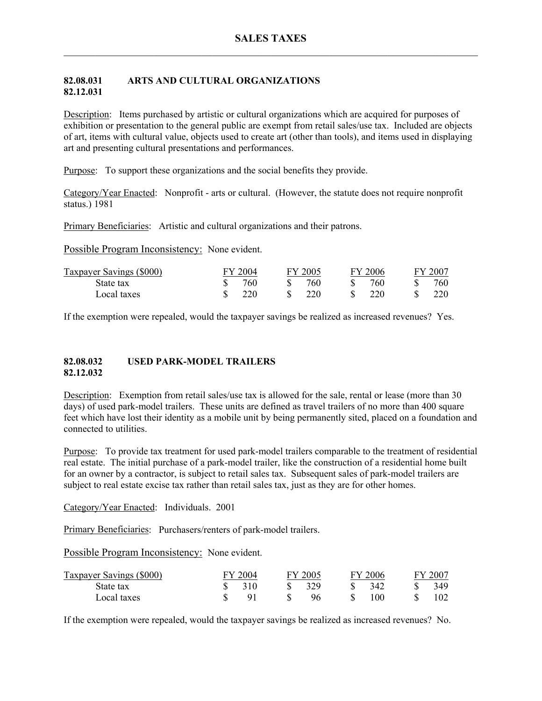## **82.08.031 ARTS AND CULTURAL ORGANIZATIONS 82.12.031**

Description: Items purchased by artistic or cultural organizations which are acquired for purposes of exhibition or presentation to the general public are exempt from retail sales/use tax. Included are objects of art, items with cultural value, objects used to create art (other than tools), and items used in displaying art and presenting cultural presentations and performances.

Purpose: To support these organizations and the social benefits they provide.

Category/Year Enacted: Nonprofit - arts or cultural. (However, the statute does not require nonprofit status.) 1981

Primary Beneficiaries: Artistic and cultural organizations and their patrons.

Possible Program Inconsistency: None evident.

| Taxpayer Savings (\$000) | FY 2004 | FY 2005 | FY 2006 | FY 2007 |
|--------------------------|---------|---------|---------|---------|
| State tax                | 760     | 760     | 760     | 760-    |
| Local taxes              | 220     | 220     | 220     | 220     |

If the exemption were repealed, would the taxpayer savings be realized as increased revenues? Yes.

### **82.08.032 USED PARK-MODEL TRAILERS 82.12.032**

Description: Exemption from retail sales/use tax is allowed for the sale, rental or lease (more than 30 days) of used park-model trailers. These units are defined as travel trailers of no more than 400 square feet which have lost their identity as a mobile unit by being permanently sited, placed on a foundation and connected to utilities.

Purpose: To provide tax treatment for used park-model trailers comparable to the treatment of residential real estate. The initial purchase of a park-model trailer, like the construction of a residential home built for an owner by a contractor, is subject to retail sales tax. Subsequent sales of park-model trailers are subject to real estate excise tax rather than retail sales tax, just as they are for other homes.

Category/Year Enacted: Individuals. 2001

Primary Beneficiaries: Purchasers/renters of park-model trailers.

Possible Program Inconsistency: None evident.

| <b>Taxpayer Savings (\$000)</b> | FY 2004 | FY 2005 | FY 2006 | FY 2007 |
|---------------------------------|---------|---------|---------|---------|
| State tax                       | 310     | 329     | 342     | 349     |
| Local taxes                     |         | 96      | 100     |         |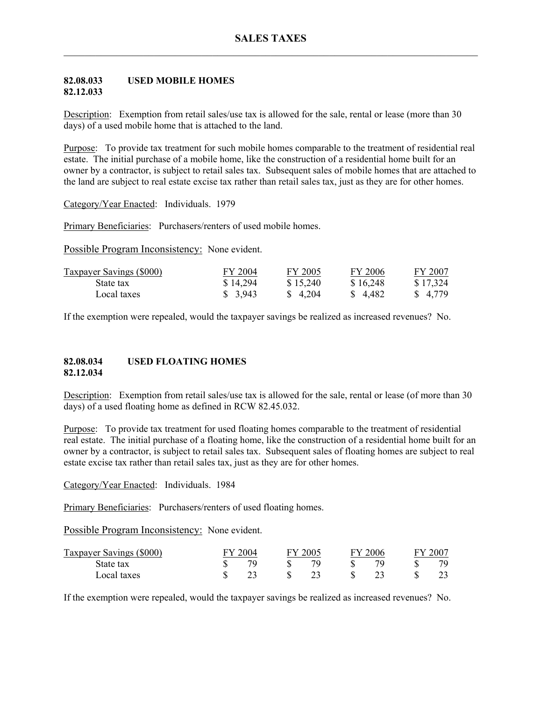### **82.08.033 USED MOBILE HOMES 82.12.033**

Description: Exemption from retail sales/use tax is allowed for the sale, rental or lease (more than 30 days) of a used mobile home that is attached to the land.

Purpose: To provide tax treatment for such mobile homes comparable to the treatment of residential real estate. The initial purchase of a mobile home, like the construction of a residential home built for an owner by a contractor, is subject to retail sales tax. Subsequent sales of mobile homes that are attached to the land are subject to real estate excise tax rather than retail sales tax, just as they are for other homes.

Category/Year Enacted: Individuals. 1979

Primary Beneficiaries: Purchasers/renters of used mobile homes.

Possible Program Inconsistency: None evident.

| <b>Taxpayer Savings (\$000)</b> | FY 2004  | FY 2005  | FY 2006  | FY 2007  |
|---------------------------------|----------|----------|----------|----------|
| State tax                       | \$14,294 | \$15,240 | \$16,248 | \$17,324 |
| Local taxes                     | \$ 3,943 | \$ 4.204 | \$4.482  | \$4.779  |

If the exemption were repealed, would the taxpayer savings be realized as increased revenues? No.

### **82.08.034 USED FLOATING HOMES 82.12.034**

Description: Exemption from retail sales/use tax is allowed for the sale, rental or lease (of more than 30 days) of a used floating home as defined in RCW 82.45.032.

Purpose: To provide tax treatment for used floating homes comparable to the treatment of residential real estate. The initial purchase of a floating home, like the construction of a residential home built for an owner by a contractor, is subject to retail sales tax. Subsequent sales of floating homes are subject to real estate excise tax rather than retail sales tax, just as they are for other homes.

Category/Year Enacted: Individuals. 1984

Primary Beneficiaries: Purchasers/renters of used floating homes.

Possible Program Inconsistency: None evident.

| Taxpayer Savings (\$000) | 2004 | FY 2005 | ЕV | 2006 | FY 200 |
|--------------------------|------|---------|----|------|--------|
| State tax                |      | 70.     |    | 70   | 70.    |
| Local taxes              |      |         |    |      |        |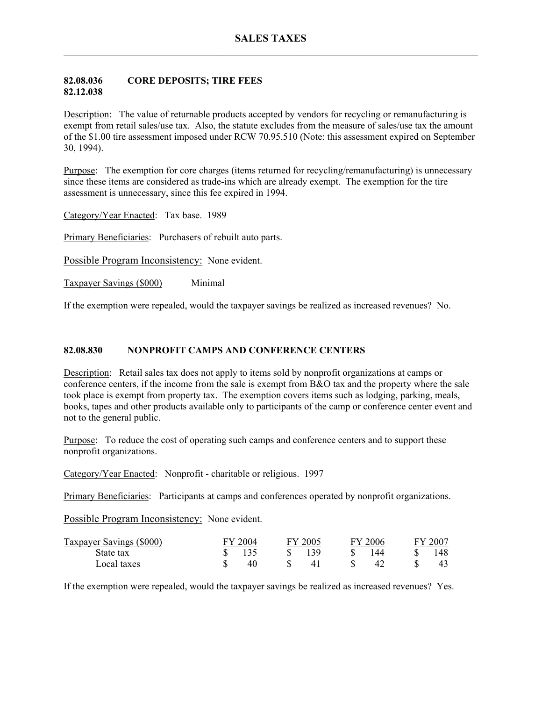## **82.08.036 CORE DEPOSITS; TIRE FEES 82.12.038**

Description: The value of returnable products accepted by vendors for recycling or remanufacturing is exempt from retail sales/use tax. Also, the statute excludes from the measure of sales/use tax the amount of the \$1.00 tire assessment imposed under RCW 70.95.510 (Note: this assessment expired on September 30, 1994).

Purpose: The exemption for core charges (items returned for recycling/remanufacturing) is unnecessary since these items are considered as trade-ins which are already exempt. The exemption for the tire assessment is unnecessary, since this fee expired in 1994.

Category/Year Enacted: Tax base. 1989

Primary Beneficiaries: Purchasers of rebuilt auto parts.

Possible Program Inconsistency: None evident.

Taxpayer Savings (\$000) Minimal

If the exemption were repealed, would the taxpayer savings be realized as increased revenues? No.

### **82.08.830 NONPROFIT CAMPS AND CONFERENCE CENTERS**

Description: Retail sales tax does not apply to items sold by nonprofit organizations at camps or conference centers, if the income from the sale is exempt from B&O tax and the property where the sale took place is exempt from property tax. The exemption covers items such as lodging, parking, meals, books, tapes and other products available only to participants of the camp or conference center event and not to the general public.

Purpose: To reduce the cost of operating such camps and conference centers and to support these nonprofit organizations.

Category/Year Enacted: Nonprofit - charitable or religious. 1997

Primary Beneficiaries: Participants at camps and conferences operated by nonprofit organizations.

Possible Program Inconsistency: None evident.

| Taxpayer Savings (\$000) | FY 2004 | FY 2005 | ĽV | 2006 | $FY$ 200 $^{\circ}$ |
|--------------------------|---------|---------|----|------|---------------------|
| State tax                |         | 139     |    | 44   |                     |
| Local taxes              |         | 4       |    |      |                     |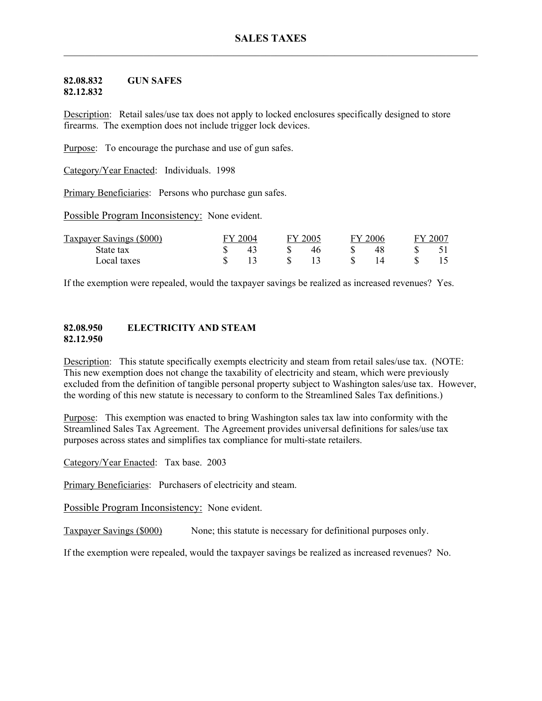#### **82.08.832 GUN SAFES 82.12.832**

Description: Retail sales/use tax does not apply to locked enclosures specifically designed to store firearms. The exemption does not include trigger lock devices.

Purpose: To encourage the purchase and use of gun safes.

Category/Year Enacted: Individuals. 1998

Primary Beneficiaries: Persons who purchase gun safes.

Possible Program Inconsistency: None evident.

| Taxpayer Savings (\$000) | FY 2004 | FY 2005 | FY 2006 | 2007 |
|--------------------------|---------|---------|---------|------|
| State tax                |         |         |         |      |
| Local taxes              |         |         |         |      |

If the exemption were repealed, would the taxpayer savings be realized as increased revenues? Yes.

### **82.08.950 ELECTRICITY AND STEAM 82.12.950**

Description: This statute specifically exempts electricity and steam from retail sales/use tax. (NOTE: This new exemption does not change the taxability of electricity and steam, which were previously excluded from the definition of tangible personal property subject to Washington sales/use tax. However, the wording of this new statute is necessary to conform to the Streamlined Sales Tax definitions.)

Purpose: This exemption was enacted to bring Washington sales tax law into conformity with the Streamlined Sales Tax Agreement. The Agreement provides universal definitions for sales/use tax purposes across states and simplifies tax compliance for multi-state retailers.

Category/Year Enacted: Tax base. 2003

Primary Beneficiaries: Purchasers of electricity and steam.

Possible Program Inconsistency: None evident.

Taxpayer Savings (\$000) None; this statute is necessary for definitional purposes only.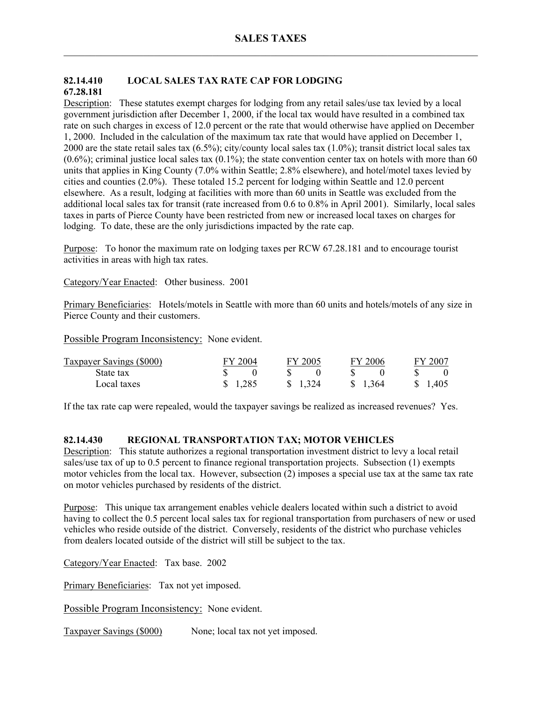# **82.14.410 LOCAL SALES TAX RATE CAP FOR LODGING 67.28.181**

Description: These statutes exempt charges for lodging from any retail sales/use tax levied by a local government jurisdiction after December 1, 2000, if the local tax would have resulted in a combined tax rate on such charges in excess of 12.0 percent or the rate that would otherwise have applied on December 1, 2000. Included in the calculation of the maximum tax rate that would have applied on December 1, 2000 are the state retail sales tax (6.5%); city/county local sales tax (1.0%); transit district local sales tax  $(0.6\%)$ ; criminal justice local sales tax  $(0.1\%)$ ; the state convention center tax on hotels with more than 60 units that applies in King County (7.0% within Seattle; 2.8% elsewhere), and hotel/motel taxes levied by cities and counties (2.0%). These totaled 15.2 percent for lodging within Seattle and 12.0 percent elsewhere. As a result, lodging at facilities with more than 60 units in Seattle was excluded from the additional local sales tax for transit (rate increased from 0.6 to 0.8% in April 2001). Similarly, local sales taxes in parts of Pierce County have been restricted from new or increased local taxes on charges for lodging. To date, these are the only jurisdictions impacted by the rate cap.

Purpose: To honor the maximum rate on lodging taxes per RCW 67.28.181 and to encourage tourist activities in areas with high tax rates.

Category/Year Enacted: Other business. 2001

Primary Beneficiaries: Hotels/motels in Seattle with more than 60 units and hotels/motels of any size in Pierce County and their customers.

Possible Program Inconsistency: None evident.

| Taxpayer Savings (\$000) | FY 2004 | FY 2005 | FY 2006  | 2007 |
|--------------------------|---------|---------|----------|------|
| State tax                |         |         |          |      |
| Local taxes              | \$1,285 | \$1,324 | \$ 1.364 | ,405 |

If the tax rate cap were repealed, would the taxpayer savings be realized as increased revenues? Yes.

## **82.14.430 REGIONAL TRANSPORTATION TAX; MOTOR VEHICLES**

Description: This statute authorizes a regional transportation investment district to levy a local retail sales/use tax of up to 0.5 percent to finance regional transportation projects. Subsection (1) exempts motor vehicles from the local tax. However, subsection  $(2)$  imposes a special use tax at the same tax rate on motor vehicles purchased by residents of the district.

Purpose: This unique tax arrangement enables vehicle dealers located within such a district to avoid having to collect the 0.5 percent local sales tax for regional transportation from purchasers of new or used vehicles who reside outside of the district. Conversely, residents of the district who purchase vehicles from dealers located outside of the district will still be subject to the tax.

Category/Year Enacted: Tax base. 2002

Primary Beneficiaries: Tax not yet imposed.

Possible Program Inconsistency: None evident.

Taxpayer Savings (\$000) None; local tax not yet imposed.